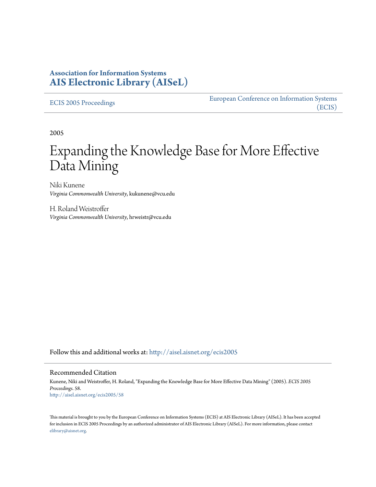# **Association for Information Systems [AIS Electronic Library \(AISeL\)](http://aisel.aisnet.org?utm_source=aisel.aisnet.org%2Fecis2005%2F58&utm_medium=PDF&utm_campaign=PDFCoverPages)**

[ECIS 2005 Proceedings](http://aisel.aisnet.org/ecis2005?utm_source=aisel.aisnet.org%2Fecis2005%2F58&utm_medium=PDF&utm_campaign=PDFCoverPages)

[European Conference on Information Systems](http://aisel.aisnet.org/ecis?utm_source=aisel.aisnet.org%2Fecis2005%2F58&utm_medium=PDF&utm_campaign=PDFCoverPages) [\(ECIS\)](http://aisel.aisnet.org/ecis?utm_source=aisel.aisnet.org%2Fecis2005%2F58&utm_medium=PDF&utm_campaign=PDFCoverPages)

2005

# Expanding the Knowledge Base for More Effective Data Mining

Niki Kunene *Virginia Commonwealth University*, kukunene@vcu.edu

H. Roland Weistroffer *Virginia Commonwealth University*, hrweistr@vcu.edu

Follow this and additional works at: [http://aisel.aisnet.org/ecis2005](http://aisel.aisnet.org/ecis2005?utm_source=aisel.aisnet.org%2Fecis2005%2F58&utm_medium=PDF&utm_campaign=PDFCoverPages)

#### Recommended Citation

Kunene, Niki and Weistroffer, H. Roland, "Expanding the Knowledge Base for More Effective Data Mining" (2005). *ECIS 2005 Proceedings*. 58. [http://aisel.aisnet.org/ecis2005/58](http://aisel.aisnet.org/ecis2005/58?utm_source=aisel.aisnet.org%2Fecis2005%2F58&utm_medium=PDF&utm_campaign=PDFCoverPages)

This material is brought to you by the European Conference on Information Systems (ECIS) at AIS Electronic Library (AISeL). It has been accepted for inclusion in ECIS 2005 Proceedings by an authorized administrator of AIS Electronic Library (AISeL). For more information, please contact [elibrary@aisnet.org.](mailto:elibrary@aisnet.org%3E)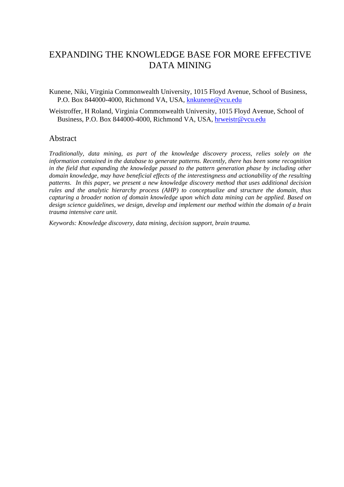# EXPANDING THE KNOWLEDGE BASE FOR MORE EFFECTIVE DATA MINING

Kunene, Niki, Virginia Commonwealth University, 1015 Floyd Avenue, School of Business, P.O. Box 844000-4000, Richmond VA, USA, knkunene@vcu.edu

Weistroffer, H Roland, Virginia Commonwealth University, 1015 Floyd Avenue, School of Business, P.O. Box 844000-4000, Richmond VA, USA, hrweistr@vcu.edu

#### Abstract

*Traditionally, data mining, as part of the knowledge discovery process, relies solely on the information contained in the database to generate patterns. Recently, there has been some recognition in the field that expanding the knowledge passed to the pattern generation phase by including other domain knowledge, may have beneficial effects of the interestingness and actionability of the resulting patterns. In this paper, we present a new knowledge discovery method that uses additional decision rules and the analytic hierarchy process (AHP) to conceptualize and structure the domain, thus capturing a broader notion of domain knowledge upon which data mining can be applied. Based on design science guidelines, we design, develop and implement our method within the domain of a brain trauma intensive care unit.* 

*Keywords: Knowledge discovery, data mining, decision support, brain trauma.*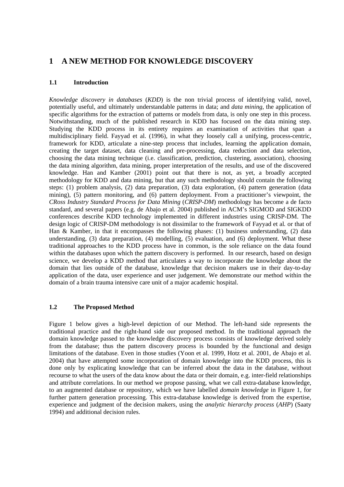### **1 A NEW METHOD FOR KNOWLEDGE DISCOVERY**

#### **1.1 Introduction**

*Knowledge discovery in databases* (*KDD*) is the non trivial process of identifying valid, novel, potentially useful, and ultimately understandable patterns in data; and *data mining*, the application of specific algorithms for the extraction of patterns or models from data, is only one step in this process. Notwithstanding, much of the published research in KDD has focused on the data mining step. Studying the KDD process in its entirety requires an examination of activities that span a multidisciplinary field. Fayyad et al. (1996), in what they loosely call a unifying, process-centric, framework for KDD, articulate a nine-step process that includes, learning the application domain, creating the target dataset, data cleaning and pre-processing, data reduction and data selection, choosing the data mining technique (i.e. classification, prediction, clustering, association), choosing the data mining algorithm, data mining, proper interpretation of the results, and use of the discovered knowledge. Han and Kamber (2001) point out that there is not, as yet, a broadly accepted methodology for KDD and data mining, but that any such methodology should contain the following steps: (1) problem analysis, (2) data preparation, (3) data exploration, (4) pattern generation (data mining), (5) pattern monitoring, and (6) pattern deployment. From a practitioner's viewpoint, the *CRoss Industry Standard Process for Data Mining* (*CRISP-DM*) methodology has become a de facto standard, and several papers (e.g. de Abajo et al. 2004) published in ACM's SIGMOD and SIGKDD conferences describe KDD technology implemented in different industries using CRISP-DM. The design logic of CRISP-DM methodology is not dissimilar to the framework of Fayyad et al*.* or that of Han & Kamber, in that it encompasses the following phases: (1) business understanding, (2) data understanding, (3) data preparation, (4) modelling, (5) evaluation, and (6) deployment. What these traditional approaches to the KDD process have in common, is the sole reliance on the data found within the databases upon which the pattern discovery is performed. In our research, based on design science, we develop a KDD method that articulates a way to incorporate the knowledge about the domain that lies outside of the database, knowledge that decision makers use in their day-to-day application of the data, user experience and user judgement. We demonstrate our method within the domain of a brain trauma intensive care unit of a major academic hospital.

#### **1.2 The Proposed Method**

Figure 1 below gives a high-level depiction of our Method. The left-hand side represents the traditional practice and the right-hand side our proposed method. In the traditional approach the domain knowledge passed to the knowledge discovery process consists of knowledge derived solely from the database; thus the pattern discovery process is bounded by the functional and design limitations of the database. Even in those studies (Yoon et al. 1999, Hotz et al. 2001, de Abajo et al. 2004) that have attempted some incorporation of domain knowledge into the KDD process, this is done only by explicating knowledge that can be inferred about the data in the database, without recourse to what the users of the data know about the data or their domain, e.g. inter-field relationships and attribute correlations. In our method we propose passing, what we call extra-database knowledge, to an augmented database or repository, which we have labelled *domain knowledge* in Figure 1, for further pattern generation processing. This extra-database knowledge is derived from the expertise, experience and judgment of the decision makers, using the *analytic hierarchy process* (*AHP*) (Saaty 1994) and additional decision rules.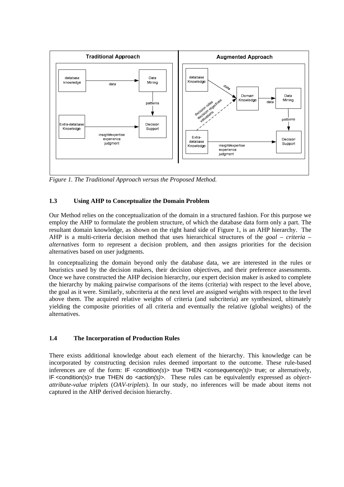

*Figure 1. The Traditional Approach versus the Proposed Method.* 

#### **1.3 Using AHP to Conceptualize the Domain Problem**

Our Method relies on the conceptualization of the domain in a structured fashion. For this purpose we employ the AHP to formulate the problem structure, of which the database data form only a part. The resultant domain knowledge, as shown on the right hand side of Figure 1, is an AHP hierarchy. The AHP is a multi-criteria decision method that uses hierarchical structures of the *goal – criteria – alternatives* form to represent a decision problem, and then assigns priorities for the decision alternatives based on user judgments.

In conceptualizing the domain beyond only the database data, we are interested in the rules or heuristics used by the decision makers, their decision objectives, and their preference assessments. Once we have constructed the AHP decision hierarchy, our expert decision maker is asked to complete the hierarchy by making pairwise comparisons of the items (criteria) with respect to the level above, the goal as it were. Similarly, subcriteria at the next level are assigned weights with respect to the level above them. The acquired relative weights of criteria (and subcriteria) are synthesized, ultimately yielding the composite priorities of all criteria and eventually the relative (global weights) of the alternatives.

#### **1.4 The Incorporation of Production Rules**

There exists additional knowledge about each element of the hierarchy. This knowledge can be incorporated by constructing decision rules deemed important to the outcome. These rule-based inferences are of the form: IF *<condition(s*)> true THEN <*consequence(s)*> true; or alternatively, IF <condition(s)> true THEN do <*action(s)*>. These rules can be equivalently expressed as *objectattribute-value triplets* (*OAV-triplets*). In our study, no inferences will be made about items not captured in the AHP derived decision hierarchy.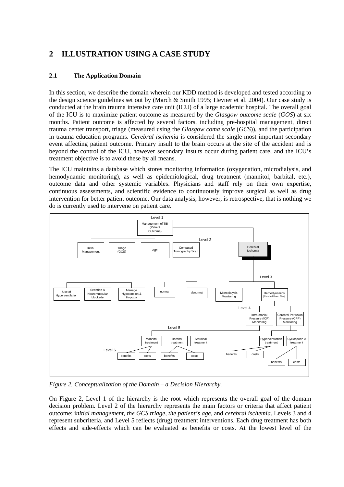# **2 ILLUSTRATION USING A CASE STUDY**

### **2.1 The Application Domain**

In this section, we describe the domain wherein our KDD method is developed and tested according to the design science guidelines set out by (March & Smith 1995; Hevner et al. 2004). Our case study is conducted at the brain trauma intensive care unit (ICU) of a large academic hospital. The overall goal of the ICU is to maximize patient outcome as measured by the *Glasgow outcome scale* (*GOS*) at six months. Patient outcome is affected by several factors, including pre-hospital management, direct trauma center transport, triage (measured using the *Glasgow coma scale* (*GCS*)), and the participation in trauma education programs. *Cerebral ischemia* is considered the single most important secondary event affecting patient outcome. Primary insult to the brain occurs at the site of the accident and is beyond the control of the ICU, however secondary insults occur during patient care, and the ICU's treatment objective is to avoid these by all means.

The ICU maintains a database which stores monitoring information (oxygenation, microdialysis, and hemodynamic monitoring), as well as epidemiological, drug treatment (mannitol, barbital, etc.), outcome data and other systemic variables. Physicians and staff rely on their own expertise, continuous assessments, and scientific evidence to continuously improve surgical as well as drug intervention for better patient outcome. Our data analysis, however, is retrospective, that is nothing we do is currently used to intervene on patient care.



*Figure 2. Conceptualization of the Domain – a Decision Hierarchy.* 

On Figure 2, Level 1 of the hierarchy is the root which represents the overall goal of the domain decision problem. Level 2 of the hierarchy represents the main factors or criteria that affect patient outcome: i*nitial management, the GCS triage, the patient's age,* and *cerebral ischemia*. Levels 3 and 4 represent subcriteria, and Level 5 reflects (drug) treatment interventions. Each drug treatment has both effects and side-effects which can be evaluated as benefits or costs. At the lowest level of the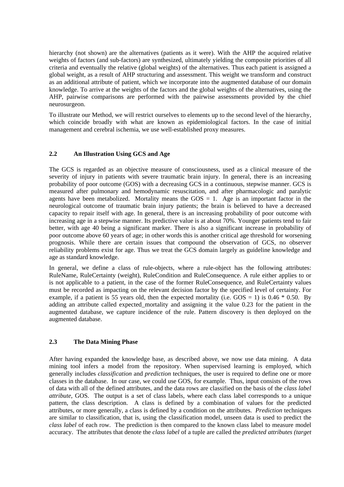hierarchy (not shown) are the alternatives (patients as it were). With the AHP the acquired relative weights of factors (and sub-factors) are synthesized, ultimately yielding the composite priorities of all criteria and eventually the relative (global weights) of the alternatives. Thus each patient is assigned a global weight, as a result of AHP structuring and assessment. This weight we transform and construct as an additional attribute of patient, which we incorporate into the augmented database of our domain knowledge. To arrive at the weights of the factors and the global weights of the alternatives, using the AHP, pairwise comparisons are performed with the pairwise assessments provided by the chief neurosurgeon.

To illustrate our Method, we will restrict ourselves to elements up to the second level of the hierarchy, which coincide broadly with what are known as epidemiological factors. In the case of initial management and cerebral ischemia, we use well-established proxy measures.

#### **2.2 An Illustration Using GCS and Age**

The GCS is regarded as an objective measure of consciousness, used as a clinical measure of the severity of injury in patients with severe traumatic brain injury. In general, there is an increasing probability of poor outcome (GOS) with a decreasing GCS in a continuous, stepwise manner. GCS is measured after pulmonary and hemodynamic resuscitation, and after pharmacologic and paralytic agents have been metabolized. Mortality means the  $GOS = 1$ . Age is an important factor in the neurological outcome of traumatic brain injury patients; the brain is believed to have a decreased capacity to repair itself with age. In general, there is an increasing probability of poor outcome with increasing age in a stepwise manner. Its predictive value is at about 70%. Younger patients tend to fair better, with age 40 being a significant marker. There is also a significant increase in probability of poor outcome above 60 years of age; in other words this is another critical age threshold for worsening prognosis. While there are certain issues that compound the observation of GCS, no observer reliability problems exist for age. Thus we treat the GCS domain largely as guideline knowledge and age as standard knowledge.

In general, we define a class of rule-objects, where a rule-object has the following attributes: RuleName, RuleCertainty (weight), RuleCondition and RuleConsequence. A rule either applies to or is not applicable to a patient, in the case of the former RuleConsequence, and RuleCertainty values must be recorded as impacting on the relevant decision factor by the specified level of certainty. For example, if a patient is 55 years old, then the expected mortality (i.e.  $GOS = 1$ ) is 0.46  $*$  0.50. By adding an attribute called expected\_mortality and assigning it the value 0.23 for the patient in the augmented database, we capture incidence of the rule. Pattern discovery is then deployed on the augmented database.

#### **2.3 The Data Mining Phase**

After having expanded the knowledge base, as described above, we now use data mining. A data mining tool infers a model from the repository. When supervised learning is employed, which generally includes *classification* and *prediction* techniques, the user is required to define one or more classes in the database. In our case, we could use GOS, for example. Thus, input consists of the rows of data with all of the defined attributes, and the data rows are classified on the basis of the *class label attribute*, GOS. The output is a set of class labels, where each class label corresponds to a unique pattern, the class description. A class is defined by a combination of values for the predicted attributes, or more generally, a class is defined by a condition on the attributes. *Prediction* techniques are similar to classification, that is, using the classification model, unseen data is used to predict the *class label* of each row. The prediction is then compared to the known class label to measure model accuracy. The attributes that denote the *class label* of a tuple are called the *predicted attributes (target*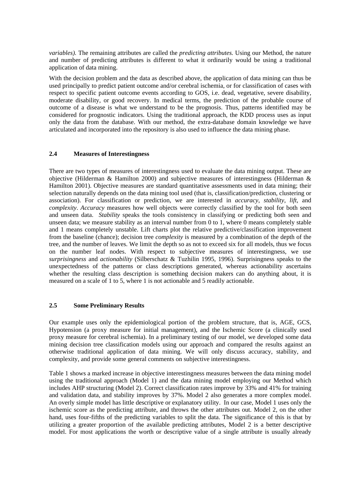*variables).* The remaining attributes are called the *predicting attributes.* Using our Method, the nature and number of predicting attributes is different to what it ordinarily would be using a traditional application of data mining.

With the decision problem and the data as described above, the application of data mining can thus be used principally to predict patient outcome and/or cerebral ischemia, or for classification of cases with respect to specific patient outcome events according to GOS, i.e. dead, vegetative, severe disability, moderate disability, or good recovery. In medical terms, the prediction of the probable course of outcome of a disease is what we understand to be the prognosis. Thus, patterns identified may be considered for prognostic indicators. Using the traditional approach, the KDD process uses as input only the data from the database. With our method, the extra-database domain knowledge we have articulated and incorporated into the repository is also used to influence the data mining phase.

#### **2.4 Measures of Interestingness**

There are two types of measures of interestingness used to evaluate the data mining output. These are objective (Hilderman & Hamilton 2000) and subjective measures of interestingness (Hilderman  $\&$ Hamilton 2001). Objective measures are standard quantitative assessments used in data mining; their selection naturally depends on the data mining tool used (that is, classification/prediction, clustering or association). For classification or prediction, we are interested in *accuracy*, *stability*, *lift*, and *complexity*. *Accuracy* measures how well objects were correctly classified by the tool for both seen and unseen data. *Stability* speaks the tools consistency in classifying or predicting both seen and unseen data; we measure stability as an interval number from 0 to 1, where 0 means completely stable and 1 means completely unstable. Lift charts plot the relative predictive/classification improvement from the baseline (chance); decision tree *complexity* is measured by a combination of the depth of the tree, and the number of leaves. We limit the depth so as not to exceed six for all models, thus we focus on the number leaf nodes. With respect to subjective measures of interestingness, we use *surprisingness* and *actionability* (Silberschatz & Tuzhilin 1995, 1996). Surprisingness speaks to the unexpectedness of the patterns or class descriptions generated, whereas actionability ascertains whether the resulting class description is something decision makers can do anything about, it is measured on a scale of 1 to 5, where 1 is not actionable and 5 readily actionable.

#### **2.5 Some Preliminary Results**

Our example uses only the epidemiological portion of the problem structure, that is, AGE, GCS, Hypotension (a proxy measure for initial management), and the Ischemic Score (a clinically used proxy measure for cerebral ischemia). In a preliminary testing of our model, we developed some data mining decision tree classification models using our approach and compared the results against an otherwise traditional application of data mining. We will only discuss accuracy, stability, and complexity, and provide some general comments on subjective interestingness.

Table 1 shows a marked increase in objective interestingness measures between the data mining model using the traditional approach (Model 1) and the data mining model employing our Method which includes AHP structuring (Model 2). Correct classification rates improve by 33% and 41% for training and validation data, and stability improves by 37%. Model 2 also generates a more complex model. An overly simple model has little descriptive or explanatory utility. In our case, Model 1 uses only the ischemic score as the predicting attribute, and throws the other attributes out. Model 2, on the other hand, uses four-fifths of the predicting variables to split the data. The significance of this is that by utilizing a greater proportion of the available predicting attributes, Model 2 is a better descriptive model. For most applications the worth or descriptive value of a single attribute is usually already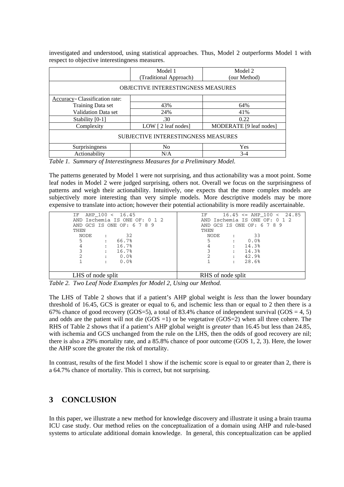|                                            | Model 1<br>(Traditional Approach) | Model 2<br>(our Method) |  |
|--------------------------------------------|-----------------------------------|-------------------------|--|
| <b>OBJECTIVE INTERESTINGNESS MEASURES</b>  |                                   |                         |  |
| Accuracy-Classification rate:              |                                   |                         |  |
| Training Data set                          | 43%                               | 64%                     |  |
| <b>Validation Data set</b>                 | 24%                               | 41%                     |  |
| Stability [0-1]                            | .30                               | 0.22                    |  |
| Complexity                                 | LOW $[2 \text{ leaf nodes}]$      | MODERATE [9 leaf nodes] |  |
| <b>SUBJECTIVE INTERESTINGNESS MEASURES</b> |                                   |                         |  |
| Surprisingness                             | N <sub>o</sub>                    | Yes                     |  |
| Actionability                              | N/A                               | $3-4$                   |  |

investigated and understood, using statistical approaches. Thus, Model 2 outperforms Model 1 with respect to objective interestingness measures.

*Table 1. Summary of Interestingness Measures for a Preliminary Model.* 

The patterns generated by Model 1 were not surprising, and thus actionability was a moot point. Some leaf nodes in Model 2 were judged surprising, others not. Overall we focus on the surprisingness of patterns and weigh their actionability. Intuitively, one expects that the more complex models are subjectively more interesting than very simple models. More descriptive models may be more expensive to translate into action; however their potential actionability is more readily ascertainable.

| AHP 100 < 16.45<br>IF.        | $16.45 \leq AHP$ 100 < 24.85<br>IF |  |
|-------------------------------|------------------------------------|--|
|                               |                                    |  |
| AND Ischemia IS ONE OF: 0 1 2 | AND Ischemia IS ONE OF: 0 1 2      |  |
| AND GCS IS ONE OF: 6 7 8 9    | AND GCS IS ONE OF: 6 7 8 9         |  |
| THEN                          | THEN                               |  |
| 32<br>NODE<br>$\cdot$         | -33<br>NODE                        |  |
| 66.7%<br>5<br>$\mathbf{r}$    | 0.0%<br>5                          |  |
| 16.7%<br>$\mathbf{r}$         | 14.3%                              |  |
| 16.7%<br>$\mathbf{r}$         | 14.3%                              |  |
| 0.0%<br>$\ddot{\phantom{a}}$  | 42.9%                              |  |
| 0.0%<br>$\ddot{\phantom{a}}$  | 28.6%<br>$\cdot$                   |  |
|                               |                                    |  |
| LHS of node split             | RHS of node split                  |  |

*Table 2. Two Leaf Node Examples for Model 2, Using our Method.* 

The LHS of Table 2 shows that if a patient's AHP global weight is *less* than the lower boundary threshold of 16.45, GCS is greater or equal to 6, and ischemic less than or equal to 2 then there is a 67% chance of good recovery (GOS=5), a total of 83.4% chance of independent survival (GOS = 4, 5) and odds are the patient will not die  $(GOS = 1)$  or be vegetative  $(GOS = 2)$  when all three cohere. The RHS of Table 2 shows that if a patient's AHP global weight is *greater* than 16.45 but less than 24.85, with ischemia and GCS unchanged from the rule on the LHS, then the odds of good recovery are nil; there is also a 29% mortality rate, and a 85.8% chance of poor outcome (GOS 1, 2, 3). Here, the lower the AHP score the greater the risk of mortality.

In contrast, results of the first Model 1 show if the ischemic score is equal to or greater than 2, there is a 64.7% chance of mortality. This is correct, but not surprising.

# **3 CONCLUSION**

In this paper, we illustrate a new method for knowledge discovery and illustrate it using a brain trauma ICU case study. Our method relies on the conceptualization of a domain using AHP and rule-based systems to articulate additional domain knowledge. In general, this conceptualization can be applied